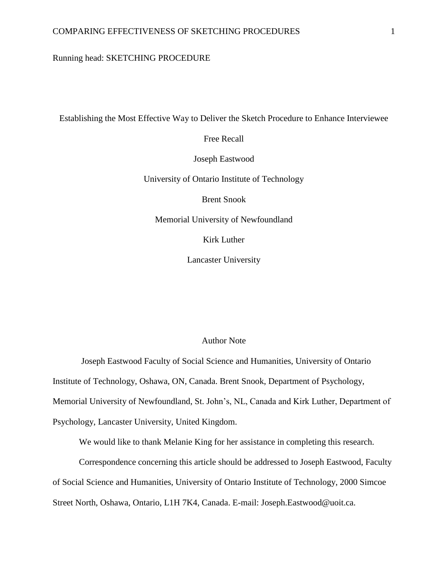# Running head: SKETCHING PROCEDURE

Establishing the Most Effective Way to Deliver the Sketch Procedure to Enhance Interviewee

Free Recall

Joseph Eastwood

University of Ontario Institute of Technology

Brent Snook

Memorial University of Newfoundland

Kirk Luther

Lancaster University

## Author Note

Joseph Eastwood Faculty of Social Science and Humanities, University of Ontario Institute of Technology, Oshawa, ON, Canada. Brent Snook, Department of Psychology, Memorial University of Newfoundland, St. John's, NL, Canada and Kirk Luther, Department of Psychology, Lancaster University, United Kingdom.

We would like to thank Melanie King for her assistance in completing this research.

Correspondence concerning this article should be addressed to Joseph Eastwood, Faculty of Social Science and Humanities, University of Ontario Institute of Technology, 2000 Simcoe Street North, Oshawa, Ontario, L1H 7K4, Canada. E-mail: Joseph.Eastwood@uoit.ca.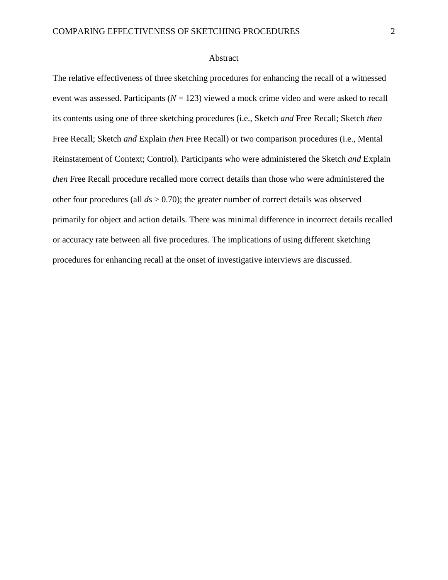## Abstract

The relative effectiveness of three sketching procedures for enhancing the recall of a witnessed event was assessed. Participants ( $N = 123$ ) viewed a mock crime video and were asked to recall its contents using one of three sketching procedures (i.e., Sketch *and* Free Recall; Sketch *then* Free Recall; Sketch *and* Explain *then* Free Recall) or two comparison procedures (i.e., Mental Reinstatement of Context; Control). Participants who were administered the Sketch *and* Explain *then* Free Recall procedure recalled more correct details than those who were administered the other four procedures (all *d*s > 0.70); the greater number of correct details was observed primarily for object and action details. There was minimal difference in incorrect details recalled or accuracy rate between all five procedures. The implications of using different sketching procedures for enhancing recall at the onset of investigative interviews are discussed.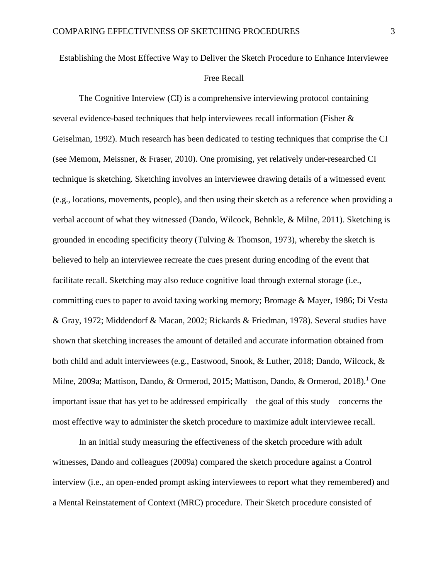# Establishing the Most Effective Way to Deliver the Sketch Procedure to Enhance Interviewee

# Free Recall

The Cognitive Interview (CI) is a comprehensive interviewing protocol containing several evidence-based techniques that help interviewees recall information (Fisher & Geiselman, 1992). Much research has been dedicated to testing techniques that comprise the CI (see Memom, Meissner, & Fraser, 2010). One promising, yet relatively under-researched CI technique is sketching. Sketching involves an interviewee drawing details of a witnessed event (e.g., locations, movements, people), and then using their sketch as a reference when providing a verbal account of what they witnessed (Dando, Wilcock, Behnkle, & Milne, 2011). Sketching is grounded in encoding specificity theory (Tulving  $&$  Thomson, 1973), whereby the sketch is believed to help an interviewee recreate the cues present during encoding of the event that facilitate recall. Sketching may also reduce cognitive load through external storage (i.e., committing cues to paper to avoid taxing working memory; Bromage & Mayer, 1986; Di Vesta & Gray, 1972; Middendorf & Macan, 2002; Rickards & Friedman, 1978). Several studies have shown that sketching increases the amount of detailed and accurate information obtained from both child and adult interviewees (e.g., Eastwood, Snook, & Luther, 2018; Dando, Wilcock, & Milne, 2009a; Mattison, Dando, & Ormerod, 2015; Mattison, Dando, & Ormerod, 2018).<sup>1</sup> One important issue that has yet to be addressed empirically – the goal of this study – concerns the most effective way to administer the sketch procedure to maximize adult interviewee recall.

In an initial study measuring the effectiveness of the sketch procedure with adult witnesses, Dando and colleagues (2009a) compared the sketch procedure against a Control interview (i.e., an open-ended prompt asking interviewees to report what they remembered) and a Mental Reinstatement of Context (MRC) procedure. Their Sketch procedure consisted of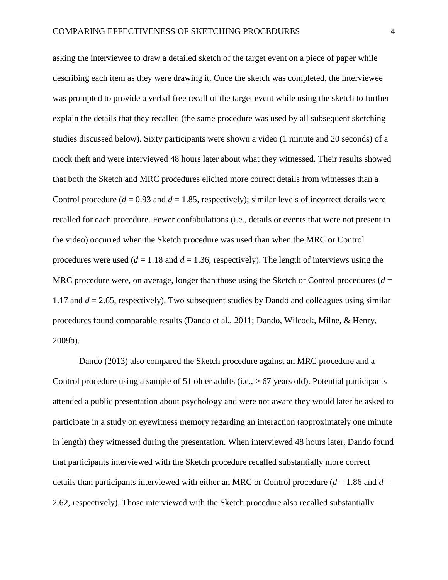asking the interviewee to draw a detailed sketch of the target event on a piece of paper while describing each item as they were drawing it. Once the sketch was completed, the interviewee was prompted to provide a verbal free recall of the target event while using the sketch to further explain the details that they recalled (the same procedure was used by all subsequent sketching studies discussed below). Sixty participants were shown a video (1 minute and 20 seconds) of a mock theft and were interviewed 48 hours later about what they witnessed. Their results showed that both the Sketch and MRC procedures elicited more correct details from witnesses than a Control procedure ( $d = 0.93$  and  $d = 1.85$ , respectively); similar levels of incorrect details were recalled for each procedure. Fewer confabulations (i.e., details or events that were not present in the video) occurred when the Sketch procedure was used than when the MRC or Control procedures were used  $(d = 1.18$  and  $d = 1.36$ , respectively). The length of interviews using the MRC procedure were, on average, longer than those using the Sketch or Control procedures  $(d =$ 1.17 and *d* = 2.65, respectively). Two subsequent studies by Dando and colleagues using similar procedures found comparable results (Dando et al., 2011; Dando, Wilcock, Milne, & Henry, 2009b).

Dando (2013) also compared the Sketch procedure against an MRC procedure and a Control procedure using a sample of 51 older adults (i.e.,  $> 67$  years old). Potential participants attended a public presentation about psychology and were not aware they would later be asked to participate in a study on eyewitness memory regarding an interaction (approximately one minute in length) they witnessed during the presentation. When interviewed 48 hours later, Dando found that participants interviewed with the Sketch procedure recalled substantially more correct details than participants interviewed with either an MRC or Control procedure (*d* = 1.86 and *d* = 2.62, respectively). Those interviewed with the Sketch procedure also recalled substantially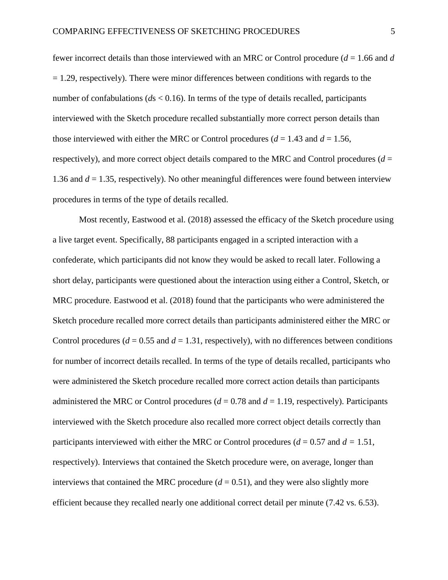fewer incorrect details than those interviewed with an MRC or Control procedure (*d* = 1.66 and *d*   $= 1.29$ , respectively). There were minor differences between conditions with regards to the number of confabulations ( $ds < 0.16$ ). In terms of the type of details recalled, participants interviewed with the Sketch procedure recalled substantially more correct person details than those interviewed with either the MRC or Control procedures ( $d = 1.43$  and  $d = 1.56$ , respectively), and more correct object details compared to the MRC and Control procedures ( $d =$ 1.36 and  $d = 1.35$ , respectively). No other meaningful differences were found between interview procedures in terms of the type of details recalled.

Most recently, Eastwood et al. (2018) assessed the efficacy of the Sketch procedure using a live target event. Specifically, 88 participants engaged in a scripted interaction with a confederate, which participants did not know they would be asked to recall later. Following a short delay, participants were questioned about the interaction using either a Control, Sketch, or MRC procedure. Eastwood et al. (2018) found that the participants who were administered the Sketch procedure recalled more correct details than participants administered either the MRC or Control procedures ( $d = 0.55$  and  $d = 1.31$ , respectively), with no differences between conditions for number of incorrect details recalled. In terms of the type of details recalled, participants who were administered the Sketch procedure recalled more correct action details than participants administered the MRC or Control procedures  $(d = 0.78$  and  $d = 1.19$ , respectively). Participants interviewed with the Sketch procedure also recalled more correct object details correctly than participants interviewed with either the MRC or Control procedures ( $d = 0.57$  and  $d = 1.51$ , respectively). Interviews that contained the Sketch procedure were, on average, longer than interviews that contained the MRC procedure  $(d = 0.51)$ , and they were also slightly more efficient because they recalled nearly one additional correct detail per minute (7.42 vs. 6.53).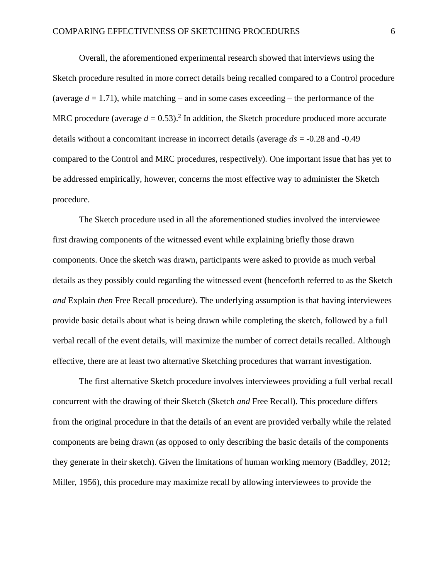Overall, the aforementioned experimental research showed that interviews using the Sketch procedure resulted in more correct details being recalled compared to a Control procedure (average  $d = 1.71$ ), while matching – and in some cases exceeding – the performance of the MRC procedure (average  $d = 0.53$ ).<sup>2</sup> In addition, the Sketch procedure produced more accurate details without a concomitant increase in incorrect details (average *ds* = -0.28 and -0.49 compared to the Control and MRC procedures, respectively). One important issue that has yet to be addressed empirically, however, concerns the most effective way to administer the Sketch procedure.

The Sketch procedure used in all the aforementioned studies involved the interviewee first drawing components of the witnessed event while explaining briefly those drawn components. Once the sketch was drawn, participants were asked to provide as much verbal details as they possibly could regarding the witnessed event (henceforth referred to as the Sketch *and* Explain *then* Free Recall procedure). The underlying assumption is that having interviewees provide basic details about what is being drawn while completing the sketch, followed by a full verbal recall of the event details, will maximize the number of correct details recalled. Although effective, there are at least two alternative Sketching procedures that warrant investigation.

The first alternative Sketch procedure involves interviewees providing a full verbal recall concurrent with the drawing of their Sketch (Sketch *and* Free Recall). This procedure differs from the original procedure in that the details of an event are provided verbally while the related components are being drawn (as opposed to only describing the basic details of the components they generate in their sketch). Given the limitations of human working memory (Baddley, 2012; Miller, 1956), this procedure may maximize recall by allowing interviewees to provide the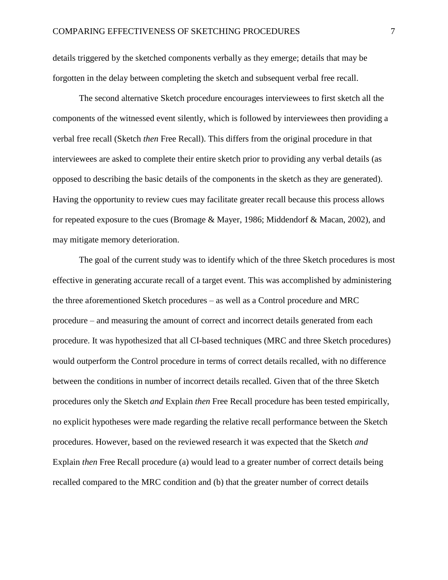details triggered by the sketched components verbally as they emerge; details that may be forgotten in the delay between completing the sketch and subsequent verbal free recall.

The second alternative Sketch procedure encourages interviewees to first sketch all the components of the witnessed event silently, which is followed by interviewees then providing a verbal free recall (Sketch *then* Free Recall). This differs from the original procedure in that interviewees are asked to complete their entire sketch prior to providing any verbal details (as opposed to describing the basic details of the components in the sketch as they are generated). Having the opportunity to review cues may facilitate greater recall because this process allows for repeated exposure to the cues (Bromage & Mayer, 1986; Middendorf & Macan, 2002), and may mitigate memory deterioration.

The goal of the current study was to identify which of the three Sketch procedures is most effective in generating accurate recall of a target event. This was accomplished by administering the three aforementioned Sketch procedures – as well as a Control procedure and MRC procedure – and measuring the amount of correct and incorrect details generated from each procedure. It was hypothesized that all CI-based techniques (MRC and three Sketch procedures) would outperform the Control procedure in terms of correct details recalled, with no difference between the conditions in number of incorrect details recalled. Given that of the three Sketch procedures only the Sketch *and* Explain *then* Free Recall procedure has been tested empirically, no explicit hypotheses were made regarding the relative recall performance between the Sketch procedures. However, based on the reviewed research it was expected that the Sketch *and*  Explain *then* Free Recall procedure (a) would lead to a greater number of correct details being recalled compared to the MRC condition and (b) that the greater number of correct details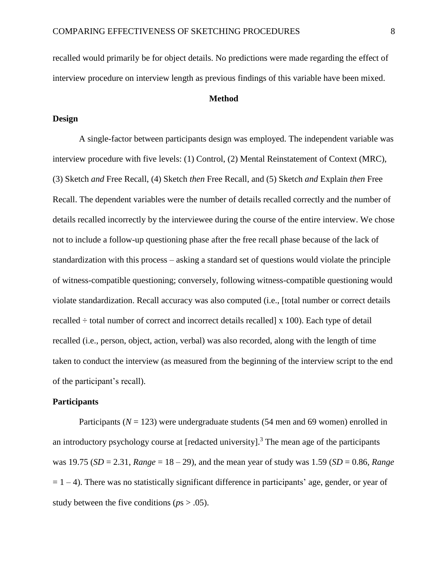recalled would primarily be for object details. No predictions were made regarding the effect of interview procedure on interview length as previous findings of this variable have been mixed.

## **Method**

# **Design**

A single-factor between participants design was employed. The independent variable was interview procedure with five levels: (1) Control, (2) Mental Reinstatement of Context (MRC), (3) Sketch *and* Free Recall, (4) Sketch *then* Free Recall, and (5) Sketch *and* Explain *then* Free Recall. The dependent variables were the number of details recalled correctly and the number of details recalled incorrectly by the interviewee during the course of the entire interview. We chose not to include a follow-up questioning phase after the free recall phase because of the lack of standardization with this process – asking a standard set of questions would violate the principle of witness-compatible questioning; conversely, following witness-compatible questioning would violate standardization. Recall accuracy was also computed (i.e., [total number or correct details recalled  $\div$  total number of correct and incorrect details recalled  $\times$  100). Each type of detail recalled (i.e., person, object, action, verbal) was also recorded, along with the length of time taken to conduct the interview (as measured from the beginning of the interview script to the end of the participant's recall).

## **Participants**

Participants ( $N = 123$ ) were undergraduate students (54 men and 69 women) enrolled in an introductory psychology course at [redacted university].<sup>3</sup> The mean age of the participants was 19.75 (*SD* = 2.31, *Range* = 18 – 29), and the mean year of study was 1.59 (*SD* = 0.86, *Range*   $= 1 - 4$ ). There was no statistically significant difference in participants' age, gender, or year of study between the five conditions (*p*s > .05).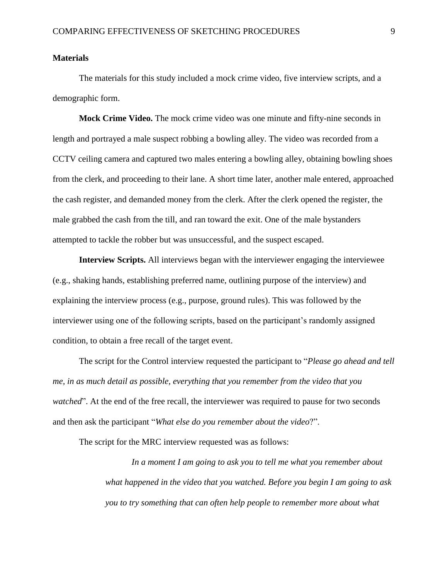## **Materials**

The materials for this study included a mock crime video, five interview scripts, and a demographic form.

**Mock Crime Video.** The mock crime video was one minute and fifty-nine seconds in length and portrayed a male suspect robbing a bowling alley. The video was recorded from a CCTV ceiling camera and captured two males entering a bowling alley, obtaining bowling shoes from the clerk, and proceeding to their lane. A short time later, another male entered, approached the cash register, and demanded money from the clerk. After the clerk opened the register, the male grabbed the cash from the till, and ran toward the exit. One of the male bystanders attempted to tackle the robber but was unsuccessful, and the suspect escaped.

**Interview Scripts.** All interviews began with the interviewer engaging the interviewee (e.g., shaking hands, establishing preferred name, outlining purpose of the interview) and explaining the interview process (e.g., purpose, ground rules). This was followed by the interviewer using one of the following scripts, based on the participant's randomly assigned condition, to obtain a free recall of the target event.

The script for the Control interview requested the participant to "*Please go ahead and tell me, in as much detail as possible, everything that you remember from the video that you watched*". At the end of the free recall, the interviewer was required to pause for two seconds and then ask the participant "*What else do you remember about the video*?".

The script for the MRC interview requested was as follows:

*In a moment I am going to ask you to tell me what you remember about what happened in the video that you watched. Before you begin I am going to ask you to try something that can often help people to remember more about what*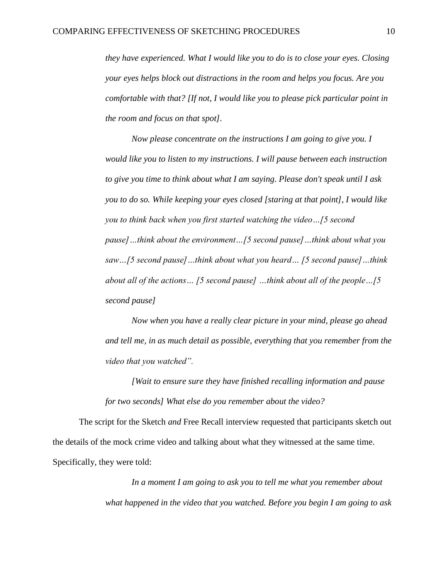*they have experienced. What I would like you to do is to close your eyes. Closing your eyes helps block out distractions in the room and helps you focus. Are you comfortable with that? [If not, I would like you to please pick particular point in the room and focus on that spot].* 

*Now please concentrate on the instructions I am going to give you. I would like you to listen to my instructions. I will pause between each instruction to give you time to think about what I am saying. Please don't speak until I ask you to do so. While keeping your eyes closed [staring at that point], I would like you to think back when you first started watching the video…[5 second pause]…think about the environment…[5 second pause]…think about what you saw…[5 second pause]…think about what you heard… [5 second pause]…think about all of the actions… [5 second pause] …think about all of the people…[5 second pause]* 

*Now when you have a really clear picture in your mind, please go ahead and tell me, in as much detail as possible, everything that you remember from the video that you watched".*

*[Wait to ensure sure they have finished recalling information and pause for two seconds] What else do you remember about the video?*

The script for the Sketch *and* Free Recall interview requested that participants sketch out the details of the mock crime video and talking about what they witnessed at the same time. Specifically, they were told:

> *In a moment I am going to ask you to tell me what you remember about what happened in the video that you watched. Before you begin I am going to ask*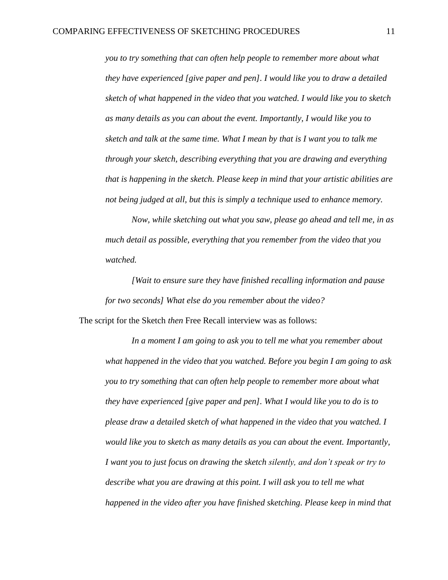*you to try something that can often help people to remember more about what they have experienced [give paper and pen]. I would like you to draw a detailed sketch of what happened in the video that you watched. I would like you to sketch as many details as you can about the event. Importantly, I would like you to sketch and talk at the same time. What I mean by that is I want you to talk me through your sketch, describing everything that you are drawing and everything that is happening in the sketch. Please keep in mind that your artistic abilities are not being judged at all, but this is simply a technique used to enhance memory.* 

*Now, while sketching out what you saw, please go ahead and tell me, in as much detail as possible, everything that you remember from the video that you watched.*

*[Wait to ensure sure they have finished recalling information and pause for two seconds] What else do you remember about the video?* The script for the Sketch *then* Free Recall interview was as follows:

*In a moment I am going to ask you to tell me what you remember about what happened in the video that you watched. Before you begin I am going to ask you to try something that can often help people to remember more about what they have experienced [give paper and pen]. What I would like you to do is to please draw a detailed sketch of what happened in the video that you watched. I would like you to sketch as many details as you can about the event. Importantly, I want you to just focus on drawing the sketch silently, and don't speak or try to describe what you are drawing at this point. I will ask you to tell me what happened in the video after you have finished sketching. Please keep in mind that*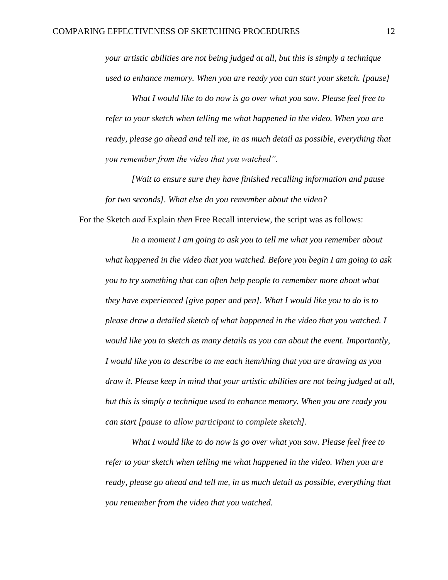*your artistic abilities are not being judged at all, but this is simply a technique used to enhance memory. When you are ready you can start your sketch. [pause]* 

*What I would like to do now is go over what you saw. Please feel free to refer to your sketch when telling me what happened in the video. When you are ready, please go ahead and tell me, in as much detail as possible, everything that you remember from the video that you watched".*

*[Wait to ensure sure they have finished recalling information and pause for two seconds]. What else do you remember about the video?*

For the Sketch *and* Explain *then* Free Recall interview, the script was as follows:

*In a moment I am going to ask you to tell me what you remember about what happened in the video that you watched. Before you begin I am going to ask you to try something that can often help people to remember more about what they have experienced [give paper and pen]. What I would like you to do is to please draw a detailed sketch of what happened in the video that you watched. I would like you to sketch as many details as you can about the event. Importantly, I would like you to describe to me each item/thing that you are drawing as you draw it. Please keep in mind that your artistic abilities are not being judged at all, but this is simply a technique used to enhance memory. When you are ready you can start [pause to allow participant to complete sketch].*

*What I would like to do now is go over what you saw. Please feel free to refer to your sketch when telling me what happened in the video. When you are ready, please go ahead and tell me, in as much detail as possible, everything that you remember from the video that you watched.*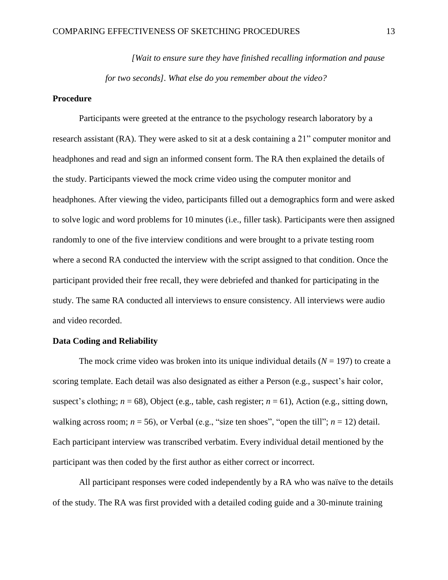*[Wait to ensure sure they have finished recalling information and pause for two seconds]. What else do you remember about the video?*

#### **Procedure**

Participants were greeted at the entrance to the psychology research laboratory by a research assistant (RA). They were asked to sit at a desk containing a 21" computer monitor and headphones and read and sign an informed consent form. The RA then explained the details of the study. Participants viewed the mock crime video using the computer monitor and headphones. After viewing the video, participants filled out a demographics form and were asked to solve logic and word problems for 10 minutes (i.e., filler task). Participants were then assigned randomly to one of the five interview conditions and were brought to a private testing room where a second RA conducted the interview with the script assigned to that condition. Once the participant provided their free recall, they were debriefed and thanked for participating in the study. The same RA conducted all interviews to ensure consistency. All interviews were audio and video recorded.

# **Data Coding and Reliability**

The mock crime video was broken into its unique individual details  $(N = 197)$  to create a scoring template. Each detail was also designated as either a Person (e.g., suspect's hair color, suspect's clothing;  $n = 68$ ), Object (e.g., table, cash register;  $n = 61$ ), Action (e.g., sitting down, walking across room;  $n = 56$ ), or Verbal (e.g., "size ten shoes", "open the till";  $n = 12$ ) detail. Each participant interview was transcribed verbatim. Every individual detail mentioned by the participant was then coded by the first author as either correct or incorrect.

All participant responses were coded independently by a RA who was naïve to the details of the study. The RA was first provided with a detailed coding guide and a 30-minute training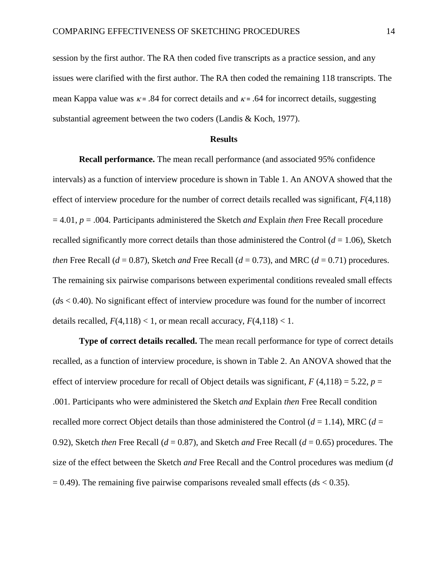session by the first author. The RA then coded five transcripts as a practice session, and any issues were clarified with the first author. The RA then coded the remaining 118 transcripts. The mean Kappa value was  $\kappa$  = .84 for correct details and  $\kappa$  = .64 for incorrect details, suggesting substantial agreement between the two coders (Landis & Koch, 1977).

#### **Results**

**Recall performance.** The mean recall performance (and associated 95% confidence intervals) as a function of interview procedure is shown in Table 1. An ANOVA showed that the effect of interview procedure for the number of correct details recalled was significant, *F*(4,118) = 4.01, *p* = .004. Participants administered the Sketch *and* Explain *then* Free Recall procedure recalled significantly more correct details than those administered the Control  $(d = 1.06)$ , Sketch *then* Free Recall ( $d = 0.87$ ), Sketch *and* Free Recall ( $d = 0.73$ ), and MRC ( $d = 0.71$ ) procedures. The remaining six pairwise comparisons between experimental conditions revealed small effects (*d*s < 0.40). No significant effect of interview procedure was found for the number of incorrect details recalled,  $F(4,118) < 1$ , or mean recall accuracy,  $F(4,118) < 1$ .

**Type of correct details recalled.** The mean recall performance for type of correct details recalled, as a function of interview procedure, is shown in Table 2. An ANOVA showed that the effect of interview procedure for recall of Object details was significant,  $F(4,118) = 5.22$ ,  $p =$ .001. Participants who were administered the Sketch *and* Explain *then* Free Recall condition recalled more correct Object details than those administered the Control  $(d = 1.14)$ , MRC  $(d = 1.14)$ 0.92), Sketch *then* Free Recall (*d* = 0.87), and Sketch *and* Free Recall (*d* = 0.65) procedures. The size of the effect between the Sketch *and* Free Recall and the Control procedures was medium (*d*  $= 0.49$ ). The remaining five pairwise comparisons revealed small effects ( $ds < 0.35$ ).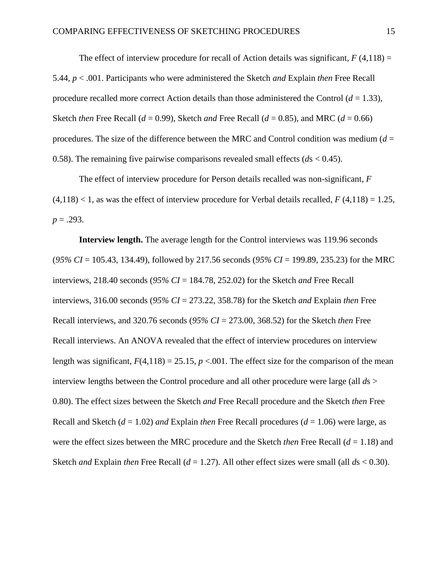The effect of interview procedure for recall of Action details was significant,  $F(4,118) =$ 5.44, *p* < .001. Participants who were administered the Sketch *and* Explain *then* Free Recall procedure recalled more correct Action details than those administered the Control  $(d = 1.33)$ , Sketch *then* Free Recall ( $d = 0.99$ ), Sketch *and* Free Recall ( $d = 0.85$ ), and MRC ( $d = 0.66$ ) procedures. The size of the difference between the MRC and Control condition was medium  $(d =$ 0.58). The remaining five pairwise comparisons revealed small effects (*d*s < 0.45).

The effect of interview procedure for Person details recalled was non-significant, *F*  $(4,118)$  < 1, as was the effect of interview procedure for Verbal details recalled,  $F(4,118) = 1.25$ ,  $p = .293$ .

**Interview length.** The average length for the Control interviews was 119.96 seconds (*95% CI* = 105.43, 134.49), followed by 217.56 seconds (*95% CI* = 199.89, 235.23) for the MRC interviews, 218.40 seconds (*95% CI* = 184.78, 252.02) for the Sketch *and* Free Recall interviews, 316.00 seconds (*95% CI* = 273.22, 358.78) for the Sketch *and* Explain *then* Free Recall interviews, and 320.76 seconds (*95% CI* = 273.00, 368.52) for the Sketch *then* Free Recall interviews. An ANOVA revealed that the effect of interview procedures on interview length was significant,  $F(4,118) = 25.15$ ,  $p < .001$ . The effect size for the comparison of the mean interview lengths between the Control procedure and all other procedure were large (all *d*s > 0.80). The effect sizes between the Sketch *and* Free Recall procedure and the Sketch *then* Free Recall and Sketch (*d* = 1.02) *and* Explain *then* Free Recall procedures (*d* = 1.06) were large, as were the effect sizes between the MRC procedure and the Sketch *then* Free Recall (*d* = 1.18) and Sketch *and* Explain *then* Free Recall  $(d = 1.27)$ . All other effect sizes were small (all  $ds < 0.30$ ).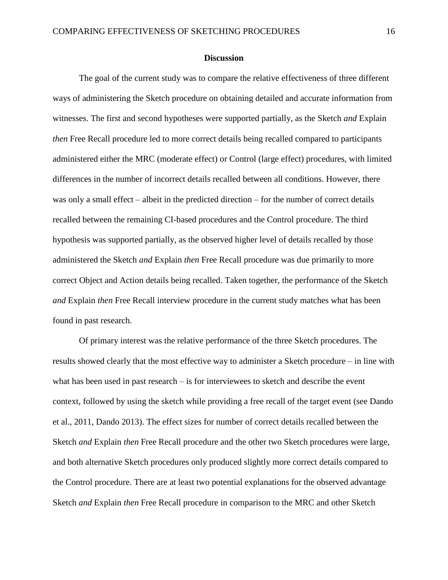#### **Discussion**

The goal of the current study was to compare the relative effectiveness of three different ways of administering the Sketch procedure on obtaining detailed and accurate information from witnesses. The first and second hypotheses were supported partially, as the Sketch *and* Explain *then* Free Recall procedure led to more correct details being recalled compared to participants administered either the MRC (moderate effect) or Control (large effect) procedures, with limited differences in the number of incorrect details recalled between all conditions. However, there was only a small effect – albeit in the predicted direction – for the number of correct details recalled between the remaining CI-based procedures and the Control procedure. The third hypothesis was supported partially, as the observed higher level of details recalled by those administered the Sketch *and* Explain *then* Free Recall procedure was due primarily to more correct Object and Action details being recalled. Taken together, the performance of the Sketch *and* Explain *then* Free Recall interview procedure in the current study matches what has been found in past research.

Of primary interest was the relative performance of the three Sketch procedures. The results showed clearly that the most effective way to administer a Sketch procedure – in line with what has been used in past research – is for interviewees to sketch and describe the event context, followed by using the sketch while providing a free recall of the target event (see Dando et al., 2011, Dando 2013). The effect sizes for number of correct details recalled between the Sketch *and* Explain *then* Free Recall procedure and the other two Sketch procedures were large, and both alternative Sketch procedures only produced slightly more correct details compared to the Control procedure. There are at least two potential explanations for the observed advantage Sketch *and* Explain *then* Free Recall procedure in comparison to the MRC and other Sketch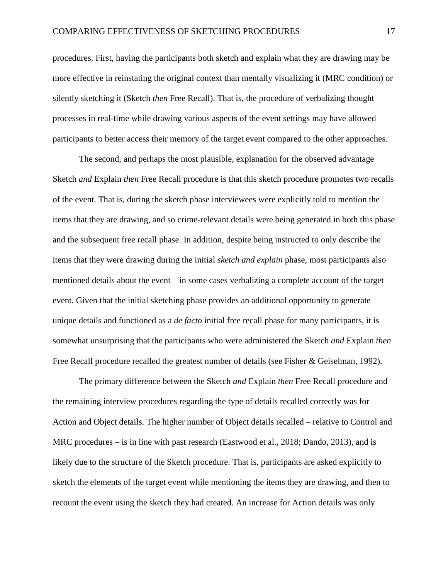procedures. First, having the participants both sketch and explain what they are drawing may be more effective in reinstating the original context than mentally visualizing it (MRC condition) or silently sketching it (Sketch *then* Free Recall). That is, the procedure of verbalizing thought processes in real-time while drawing various aspects of the event settings may have allowed participants to better access their memory of the target event compared to the other approaches.

The second, and perhaps the most plausible, explanation for the observed advantage Sketch *and* Explain *then* Free Recall procedure is that this sketch procedure promotes two recalls of the event. That is, during the sketch phase interviewees were explicitly told to mention the items that they are drawing, and so crime-relevant details were being generated in both this phase and the subsequent free recall phase. In addition, despite being instructed to only describe the items that they were drawing during the initial *sketch and explain* phase, most participants also mentioned details about the event – in some cases verbalizing a complete account of the target event. Given that the initial sketching phase provides an additional opportunity to generate unique details and functioned as a *de facto* initial free recall phase for many participants, it is somewhat unsurprising that the participants who were administered the Sketch *and* Explain *then*  Free Recall procedure recalled the greatest number of details (see Fisher & Geiselman, 1992).

The primary difference between the Sketch *and* Explain *then* Free Recall procedure and the remaining interview procedures regarding the type of details recalled correctly was for Action and Object details. The higher number of Object details recalled – relative to Control and MRC procedures – is in line with past research (Eastwood et al., 2018; Dando, 2013), and is likely due to the structure of the Sketch procedure. That is, participants are asked explicitly to sketch the elements of the target event while mentioning the items they are drawing, and then to recount the event using the sketch they had created. An increase for Action details was only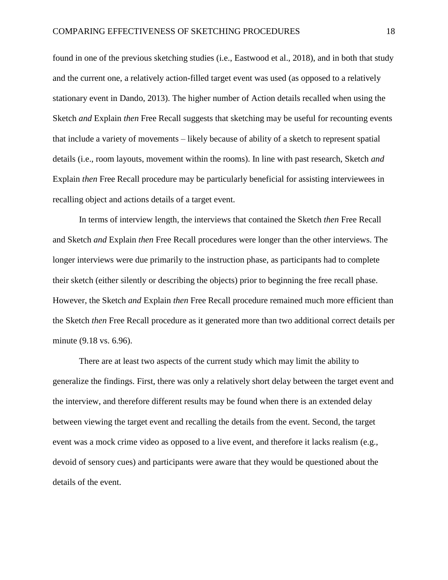found in one of the previous sketching studies (i.e., Eastwood et al., 2018), and in both that study and the current one, a relatively action-filled target event was used (as opposed to a relatively stationary event in Dando, 2013). The higher number of Action details recalled when using the Sketch *and* Explain *then* Free Recall suggests that sketching may be useful for recounting events that include a variety of movements – likely because of ability of a sketch to represent spatial details (i.e., room layouts, movement within the rooms). In line with past research, Sketch *and* Explain *then* Free Recall procedure may be particularly beneficial for assisting interviewees in recalling object and actions details of a target event.

In terms of interview length, the interviews that contained the Sketch *then* Free Recall and Sketch *and* Explain *then* Free Recall procedures were longer than the other interviews. The longer interviews were due primarily to the instruction phase, as participants had to complete their sketch (either silently or describing the objects) prior to beginning the free recall phase. However, the Sketch *and* Explain *then* Free Recall procedure remained much more efficient than the Sketch *then* Free Recall procedure as it generated more than two additional correct details per minute (9.18 vs. 6.96).

There are at least two aspects of the current study which may limit the ability to generalize the findings. First, there was only a relatively short delay between the target event and the interview, and therefore different results may be found when there is an extended delay between viewing the target event and recalling the details from the event. Second, the target event was a mock crime video as opposed to a live event, and therefore it lacks realism (e.g., devoid of sensory cues) and participants were aware that they would be questioned about the details of the event.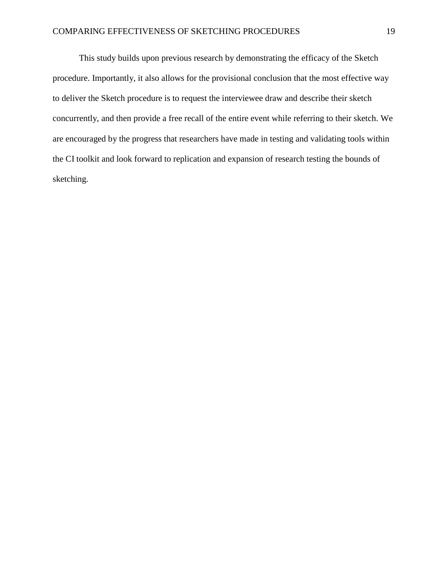This study builds upon previous research by demonstrating the efficacy of the Sketch procedure. Importantly, it also allows for the provisional conclusion that the most effective way to deliver the Sketch procedure is to request the interviewee draw and describe their sketch concurrently, and then provide a free recall of the entire event while referring to their sketch. We are encouraged by the progress that researchers have made in testing and validating tools within the CI toolkit and look forward to replication and expansion of research testing the bounds of sketching.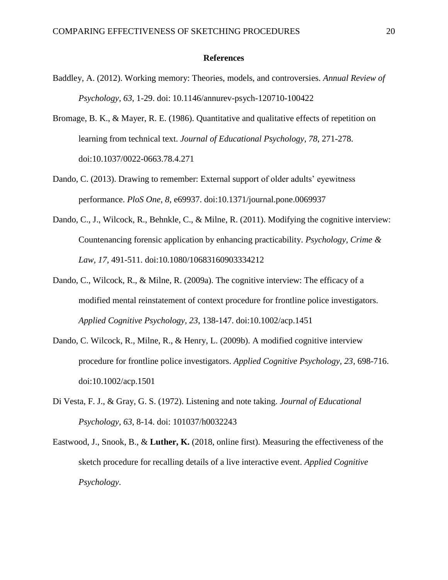#### **References**

- Baddley, A. (2012). Working memory: Theories, models, and controversies*. Annual Review of Psychology, 63*, 1-29. doi: 10.1146/annurev-psych-120710-100422
- Bromage, B. K., & Mayer, R. E. (1986). Quantitative and qualitative effects of repetition on learning from technical text. *Journal of Educational Psychology, 78*, 271-278. doi:10.1037/0022-0663.78.4.271
- Dando, C. (2013). Drawing to remember: External support of older adults' eyewitness performance. *PloS One, 8*, e69937. doi:10.1371/journal.pone.0069937
- Dando, C., J., Wilcock, R., Behnkle, C., & Milne, R. (2011). Modifying the cognitive interview: Countenancing forensic application by enhancing practicability. *Psychology, Crime & Law, 17*, 491-511. doi:10.1080/10683160903334212
- Dando, C., Wilcock, R., & Milne, R. (2009a). The cognitive interview: The efficacy of a modified mental reinstatement of context procedure for frontline police investigators. *Applied Cognitive Psychology, 23*, 138-147. doi:10.1002/acp.1451
- Dando, C. Wilcock, R., Milne, R., & Henry, L. (2009b). A modified cognitive interview procedure for frontline police investigators. *Applied Cognitive Psychology, 23*, 698-716. doi:10.1002/acp.1501
- Di Vesta, F. J., & Gray, G. S. (1972). Listening and note taking. *Journal of Educational Psychology, 63*, 8-14. doi: 101037/h0032243
- Eastwood, J., Snook, B., & **Luther, K.** (2018, online first). Measuring the effectiveness of the sketch procedure for recalling details of a live interactive event. *Applied Cognitive Psychology*.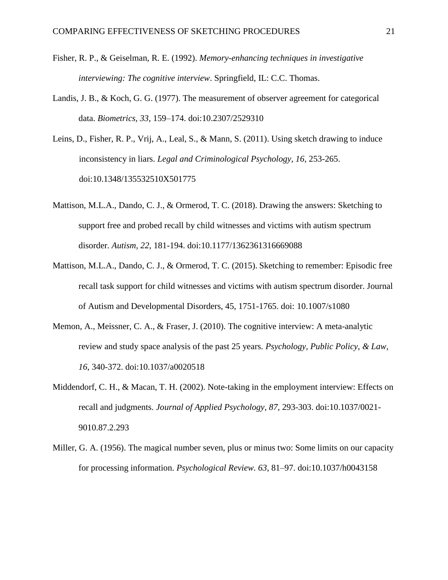- Fisher, R. P., & Geiselman, R. E. (1992). *Memory-enhancing techniques in investigative interviewing: The cognitive interview*. Springfield, IL: C.C. Thomas.
- Landis, J. B., & Koch, G. G. (1977). The measurement of observer agreement for categorical data. *Biometrics, 33*, 159–174. doi:10.2307/2529310
- Leins, D., Fisher, R. P., Vrij, A., Leal, S., & Mann, S. (2011). Using sketch drawing to induce inconsistency in liars. *Legal and Criminological Psychology, 16*, 253-265. doi:10.1348/135532510X501775
- Mattison, M.L.A., Dando, C. J., & Ormerod, T. C. (2018). Drawing the answers: Sketching to support free and probed recall by child witnesses and victims with autism spectrum disorder. *Autism, 22*, 181-194. doi:10.1177/1362361316669088
- Mattison, M.L.A., Dando, C. J., & Ormerod, T. C. (2015). Sketching to remember: Episodic free recall task support for child witnesses and victims with autism spectrum disorder. Journal of Autism and Developmental Disorders, 45, 1751-1765. doi: 10.1007/s1080
- Memon, A., Meissner, C. A., & Fraser, J. (2010). The cognitive interview: A meta-analytic review and study space analysis of the past 25 years. *Psychology, Public Policy, & Law, 16*, 340-372. doi:10.1037/a0020518
- Middendorf, C. H., & Macan, T. H. (2002). Note-taking in the employment interview: Effects on recall and judgments. *Journal of Applied Psychology, 87*, 293-303. doi:10.1037/0021- 9010.87.2.293
- Miller, G. A. (1956). The magical number seven, plus or minus two: Some limits on our capacity for processing information. *Psychological Review. 63*, 81–97. doi:10.1037/h0043158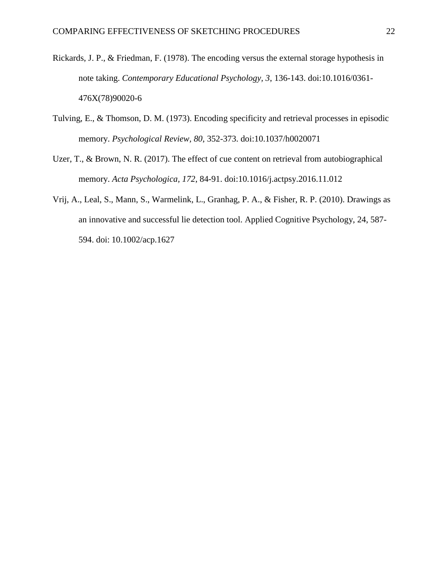- Rickards, J. P., & Friedman, F. (1978). The encoding versus the external storage hypothesis in note taking. *Contemporary Educational Psychology, 3*, 136-143. doi:10.1016/0361- 476X(78)90020-6
- Tulving, E., & Thomson, D. M. (1973). Encoding specificity and retrieval processes in episodic memory. *Psychological Review, 80*, 352-373. doi:10.1037/h0020071
- Uzer, T., & Brown, N. R. (2017). The effect of cue content on retrieval from autobiographical memory. *Acta Psychologica, 172*, 84-91. doi:10.1016/j.actpsy.2016.11.012
- Vrij, A., Leal, S., Mann, S., Warmelink, L., Granhag, P. A., & Fisher, R. P. (2010). Drawings as an innovative and successful lie detection tool. Applied Cognitive Psychology, 24, 587- 594. doi: 10.1002/acp.1627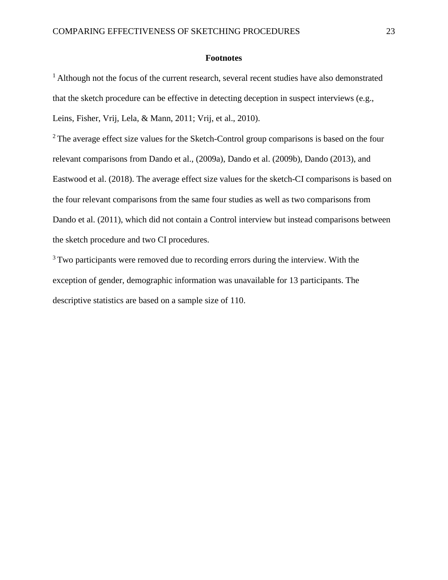#### **Footnotes**

<sup>1</sup> Although not the focus of the current research, several recent studies have also demonstrated that the sketch procedure can be effective in detecting deception in suspect interviews (e.g., Leins, Fisher, Vrij, Lela, & Mann, 2011; Vrij, et al., 2010).

 $2^2$ The average effect size values for the Sketch-Control group comparisons is based on the four relevant comparisons from Dando et al., (2009a), Dando et al. (2009b), Dando (2013), and Eastwood et al. (2018). The average effect size values for the sketch-CI comparisons is based on the four relevant comparisons from the same four studies as well as two comparisons from Dando et al. (2011), which did not contain a Control interview but instead comparisons between the sketch procedure and two CI procedures.

<sup>3</sup>Two participants were removed due to recording errors during the interview. With the exception of gender, demographic information was unavailable for 13 participants. The descriptive statistics are based on a sample size of 110.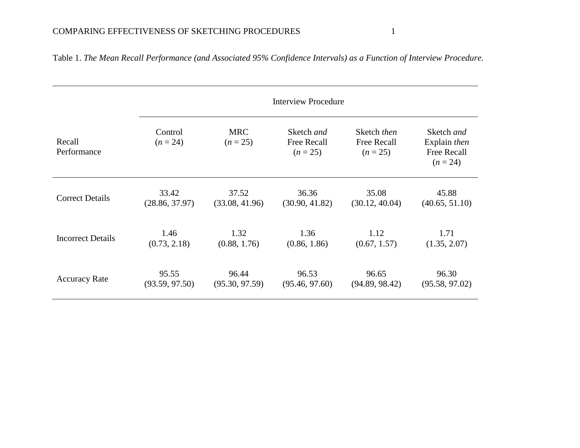|                          | <b>Interview Procedure</b> |                          |                                                |                                          |                                                         |  |  |  |
|--------------------------|----------------------------|--------------------------|------------------------------------------------|------------------------------------------|---------------------------------------------------------|--|--|--|
| Recall<br>Performance    | Control<br>$(n = 24)$      | <b>MRC</b><br>$(n = 25)$ | Sketch and<br><b>Free Recall</b><br>$(n = 25)$ | Sketch then<br>Free Recall<br>$(n = 25)$ | Sketch and<br>Explain then<br>Free Recall<br>$(n = 24)$ |  |  |  |
| <b>Correct Details</b>   | 33.42                      | 37.52                    | 36.36                                          | 35.08                                    | 45.88                                                   |  |  |  |
|                          | (28.86, 37.97)             | (33.08, 41.96)           | (30.90, 41.82)                                 | (30.12, 40.04)                           | (40.65, 51.10)                                          |  |  |  |
| <b>Incorrect Details</b> | 1.46                       | 1.32                     | 1.36                                           | 1.12                                     | 1.71                                                    |  |  |  |
|                          | (0.73, 2.18)               | (0.88, 1.76)             | (0.86, 1.86)                                   | (0.67, 1.57)                             | (1.35, 2.07)                                            |  |  |  |
| <b>Accuracy Rate</b>     | 95.55                      | 96.44                    | 96.53                                          | 96.65                                    | 96.30                                                   |  |  |  |
|                          | (93.59, 97.50)             | (95.30, 97.59)           | (95.46, 97.60)                                 | (94.89, 98.42)                           | (95.58, 97.02)                                          |  |  |  |

Table 1. *The Mean Recall Performance (and Associated 95% Confidence Intervals) as a Function of Interview Procedure.*